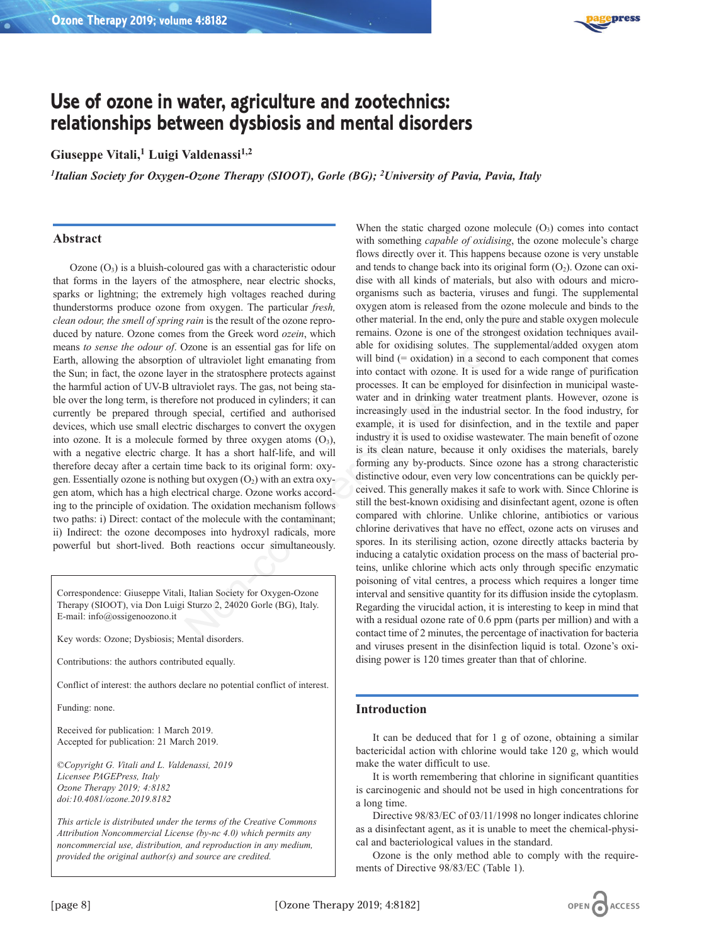

# **Use of ozone in water, agriculture and zootechnics: relationships between dysbiosis and mental disorders**

# Giuseppe Vitali,<sup>1</sup> Luigi Valdenassi<sup>1,2</sup>

*1Italian Society for Oxygen-Ozone Therapy (SIOOT), Gorle (BG); 2University of Pavia, Pavia, Italy*

## **Abstract**

Ozone  $(O_3)$  is a bluish-coloured gas with a characteristic odour that forms in the layers of the atmosphere, near electric shocks, sparks or lightning; the extremely high voltages reached during thunderstorms produce ozone from oxygen. The particular *fresh, clean odour, the smell of spring rain* is the result of the ozone reproduced by nature. Ozone comes from the Greek word *ozein*, which means *to sense the odour of*. Ozone is an essential gas for life on Earth, allowing the absorption of ultraviolet light emanating from the Sun; in fact, the ozone layer in the stratosphere protects against the harmful action of UV-B ultraviolet rays. The gas, not being stable over the long term, is therefore not produced in cylinders; it can currently be prepared through special, certified and authorised devices, which use small electric discharges to convert the oxygen into ozone. It is a molecule formed by three oxygen atoms  $(O_3)$ , with a negative electric charge. It has a short half-life, and will therefore decay after a certain time back to its original form: oxygen. Essentially ozone is nothing but oxygen  $(O_2)$  with an extra oxygen atom, which has a high electrical charge. Ozone works according to the principle of oxidation. The oxidation mechanism follows two paths: i) Direct: contact of the molecule with the contaminant; ii) Indirect: the ozone decomposes into hydroxyl radicals, more powerful but short-lived. Both reactions occur simultaneously.

Correspondence: Giuseppe Vitali, Italian Society for Oxygen-Ozone Therapy (SIOOT), via Don Luigi Sturzo 2, 24020 Gorle (BG), Italy. E-mail: info@ossigenoozono.it

Key words: Ozone; Dysbiosis; Mental disorders.

Contributions: the authors contributed equally.

Conflict of interest: the authors declare no potential conflict of interest.

Funding: none.

Received for publication: 1 March 2019. Accepted for publication: 21 March 2019.

©*Copyright G. Vitali and L. Valdenassi, 2019 Licensee PAGEPress, Italy Ozone Therapy 2019; 4:8182 doi:10.4081/ozone.2019.8182*

*This article is distributed under the terms of the Creative Commons Attribution Noncommercial License (by-nc 4.0) which permits any noncommercial use, distribution, and reproduction in any medium, provided the original author(s) and source are credited.*

When the static charged ozone molecule  $(O_3)$  comes into contact with something *capable of oxidising*, the ozone molecule's charge flows directly over it. This happens because ozone is very unstable and tends to change back into its original form  $(O_2)$ . Ozone can oxidise with all kinds of materials, but also with odours and microorganisms such as bacteria, viruses and fungi. The supplemental oxygen atom is released from the ozone molecule and binds to the other material. In the end, only the pure and stable oxygen molecule remains. Ozone is one of the strongest oxidation techniques available for oxidising solutes. The supplemental/added oxygen atom will bind (= oxidation) in a second to each component that comes into contact with ozone. It is used for a wide range of purification processes. It can be employed for disinfection in municipal wastewater and in drinking water treatment plants. However, ozone is increasingly used in the industrial sector. In the food industry, for example, it is used for disinfection, and in the textile and paper industry it is used to oxidise wastewater. The main benefit of ozone is its clean nature, because it only oxidises the materials, barely forming any by-products. Since ozone has a strong characteristic distinctive odour, even very low concentrations can be quickly perceived. This generally makes it safe to work with. Since Chlorine is still the best-known oxidising and disinfectant agent, ozone is often compared with chlorine. Unlike chlorine, antibiotics or various chlorine derivatives that have no effect, ozone acts on viruses and spores. In its sterilising action, ozone directly attacks bacteria by inducing a catalytic oxidation process on the mass of bacterial proteins, unlike chlorine which acts only through specific enzymatic poisoning of vital centres, a process which requires a longer time interval and sensitive quantity for its diffusion inside the cytoplasm. Regarding the virucidal action, it is interesting to keep in mind that with a residual ozone rate of 0.6 ppm (parts per million) and with a contact time of 2 minutes, the percentage of inactivation for bacteria and viruses present in the disinfection liquid is total. Ozone's oxidising power is 120 times greater than that of chlorine. From oxygen. The particular *JPesa,* and is is cleased unin us colone the model of the conduction of the conduction of the state of the state of the state of the state of the state of the state of the state of the state o

## **Introduction**

It can be deduced that for 1 g of ozone, obtaining a similar bactericidal action with chlorine would take 120 g, which would make the water difficult to use.

It is worth remembering that chlorine in significant quantities is carcinogenic and should not be used in high concentrations for a long time.

Directive 98/83/EC of 03/11/1998 no longer indicates chlorine as a disinfectant agent, as it is unable to meet the chemical-physical and bacteriological values in the standard.

Ozone is the only method able to comply with the requirements of Directive 98/83/EC (Table 1).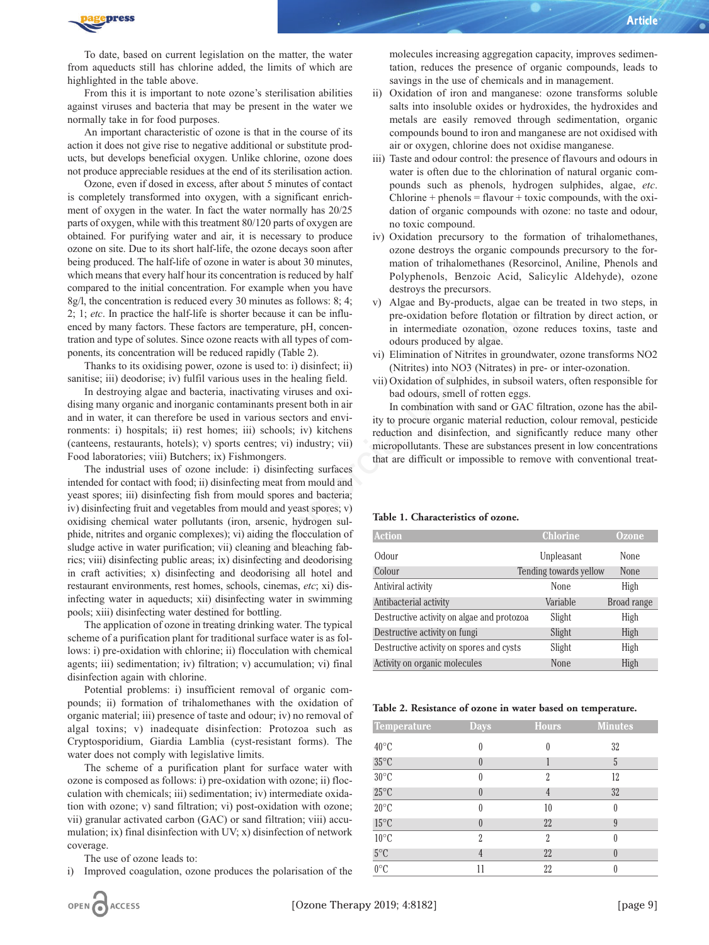

To date, based on current legislation on the matter, the water from aqueducts still has chlorine added, the limits of which are highlighted in the table above.

From this it is important to note ozone's sterilisation abilities against viruses and bacteria that may be present in the water we normally take in for food purposes.

An important characteristic of ozone is that in the course of its action it does not give rise to negative additional or substitute products, but develops beneficial oxygen. Unlike chlorine, ozone does not produce appreciable residues at the end of its sterilisation action.

[Ozone,](https://www.austinozone.com) even if dosed in excess, after about 5 minutes of contact is completely transformed into oxygen, with a significant enrichment of oxygen in the water. In fact the water normally has 20/25 parts of oxygen, while with this treatment 80/120 parts of oxygen are obtained. For purifying water and air, it is necessary to produce ozone on site. Due to its short half-life, the ozone decays soon after being produced. The half-life of ozone in water is about 30 minutes, which means that every half hour its concentration is reduced by half compared to the initial concentration. For example when you have 8g/l, the concentration is reduced every 30 minutes as follows: 8; 4; 2; 1; *etc*. In practice the half-life is shorter because it can be influenced by many factors. These factors are temperature, pH, concentration and type of solutes. Since ozone reacts with all types of components, its concentration will be reduced rapidly (Table 2).

Thanks to its oxidising power, ozone is used to: i) disinfect; ii) sanitise; iii) deodorise; iv) fulfil various uses in the healing field.

In destroying algae and bacteria, inactivating viruses and oxidising many organic and inorganic contaminants present both in air and in water, it can therefore be used in various sectors and environments: i) hospitals; ii) rest homes; iii) schools; iv) kitchens (canteens, restaurants, hotels); v) sports centres; vi) industry; vii) Food laboratories; viii) Butchers; ix) Fishmongers.

The industrial uses of ozone include: i) disinfecting surfaces intended for contact with food; ii) disinfecting meat from mould and yeast spores; iii) disinfecting fish from mould spores and bacteria; iv) disinfecting fruit and vegetables from mould and yeast spores; v) oxidising chemical water pollutants (iron, arsenic, hydrogen sulphide, nitrites and organic complexes); vi) aiding the flocculation of sludge active in water purification; vii) cleaning and bleaching fabrics; viii) disinfecting public areas; ix) disinfecting and deodorising in craft activities; x) disinfecting and deodorising all hotel and restaurant environments, rest homes, schools, cinemas, *etc*; xi) disinfecting water in aqueducts; xii) disinfecting water in swimming pools; xiii) disinfecting water destined for bottling. If-life is shorter because it can be influ-<br>
Since colors are temperature, pH, concen<br>
since cozone reacts with all types of commendiance condition, ozo<br>
interediate cozonation, oxone is used to: i) disinfect; ii)<br>
iiii)

The application of ozone in treating drinking water. The typical scheme of a purification plant for traditional surface water is as follows: i) pre-oxidation with chlorine; ii) flocculation with chemical agents; iii) sedimentation; iv) filtration; v) accumulation; vi) final disinfection again with chlorine.

Potential problems: i) insufficient removal of organic compounds; ii) formation of trihalomethanes with the oxidation of organic material; iii) presence of taste and odour; iv) no removal of algal toxins; v) inadequate disinfection: Protozoa such as Cryptosporidium, Giardia Lamblia (cyst-resistant forms). The water does not comply with legislative limits.

The scheme of a purification plant for surface water with ozone is composed as follows: i) pre-oxidation with ozone; ii) flocculation with chemicals; iii) sedimentation; iv) intermediate oxidation with ozone; v) sand filtration; vi) post-oxidation with ozone; vii) granular activated carbon (GAC) or sand filtration; viii) accumulation; ix) final disinfection with UV; x) disinfection of network coverage.

The use of ozone leads to:

i) Improved coagulation, ozone produces the polarisation of the

molecules increasing aggregation capacity, improves sedimentation, reduces the presence of organic compounds, leads to savings in the use of chemicals and in management.

- ii) Oxidation of iron and manganese: ozone transforms soluble salts into insoluble oxides or hydroxides, the hydroxides and metals are easily removed through sedimentation, organic compounds bound to iron and manganese are not oxidised with air or oxygen, chlorine does not oxidise manganese.
- iii) Taste and odour control: the presence of flavours and odours in water is often due to the chlorination of natural organic compounds such as phenols, hydrogen sulphides, algae, *etc*.  $Chlorine + phenols = flavour + toxic compounds, with the oxi$ dation of organic compounds with ozone: no taste and odour, no toxic compound.
- iv) Oxidation precursory to the formation of trihalomethanes, ozone destroys the organic compounds precursory to the formation of trihalomethanes (Resorcinol, Aniline, Phenols and Polyphenols, Benzoic Acid, Salicylic Aldehyde), ozone destroys the precursors.
- v) Algae and By-products, algae can be treated in two steps, in pre-oxidation before flotation or filtration by direct action, or in intermediate ozonation, ozone reduces toxins, taste and odours produced by algae.
- vi) Elimination of Nitrites in groundwater, ozone transforms NO2 (Nitrites) into NO3 (Nitrates) in pre- or inter-ozonation.
- vii) Oxidation of sulphides, in subsoil waters, often responsible for bad odours, smell of rotten eggs.

In combination with sand or GAC filtration, ozone has the ability to procure organic material reduction, colour removal, pesticide reduction and disinfection, and significantly reduce many other micropollutants. These are substances present in low concentrations that are difficult or impossible to remove with conventional treat-

## **Table 1. Characteristics of ozone.**

| <b>Action</b>                              | <b>Chlorine</b>        | <b>Ozone</b> |
|--------------------------------------------|------------------------|--------------|
| Odour                                      | Unpleasant             | None         |
| Colour                                     | Tending towards yellow | <b>None</b>  |
| Antiviral activity                         | <b>None</b>            | High         |
| Antibacterial activity                     | Variable               | Broad range  |
| Destructive activity on algae and protozoa | Slight                 | High         |
| Destructive activity on fungi              | Slight                 | High         |
| Destructive activity on spores and cysts   | Slight                 | High         |
| Activity on organic molecules              | <b>None</b>            | High         |

#### **Table 2. Resistance of ozone in water based on temperature.**

| <b>Temperature</b> | <b>Days</b>      | <b>Hours</b>             | <b>Minutes</b> |
|--------------------|------------------|--------------------------|----------------|
| $40^{\circ}$ C     | 0                | 0                        | 32             |
| $35^{\circ}$ C     | $\theta$         |                          | 5              |
| $30^{\circ}$ C     | $\left( \right)$ | $\overline{\mathcal{L}}$ | 12             |
| $25^{\circ}$ C     |                  | 4                        | 32             |
| $20^{\circ}$ C     | $\left( \right)$ | 10                       |                |
| $15^{\circ}$ C     | $\theta$         | 22                       | 9              |
| $10^{\circ}$ C     | 2                | $\overline{\mathcal{L}}$ |                |
| $5^{\circ}$ C      |                  | 22                       |                |
| $0^{\circ}$ C      |                  | 22                       |                |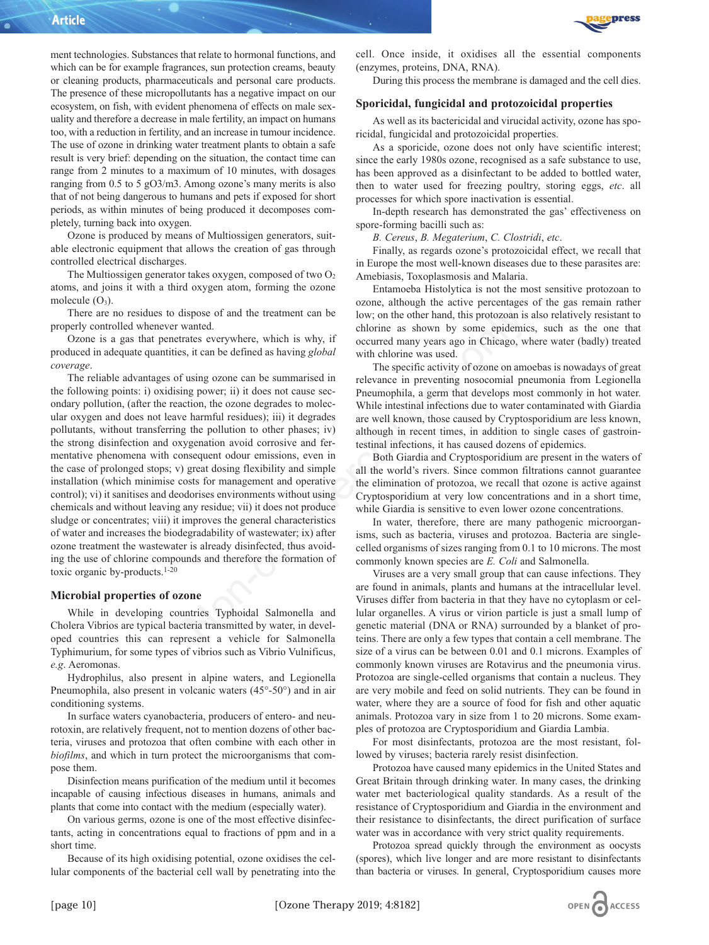ment technologies. Substances that relate to hormonal functions, and which can be for example fragrances, sun protection creams, beauty or cleaning products, pharmaceuticals and personal care products. The presence of these micropollutants has a negative impact on our ecosystem, on fish, with evident phenomena of effects on male sexuality and therefore a decrease in male fertility, an impact on humans too, with a reduction in fertility, and an increase in tumour incidence. The use of ozone in drinking water treatment plants to obtain a safe result is very brief: depending on the situation, the contact time can range from 2 minutes to a maximum of 10 minutes, with dosages ranging from 0.5 to 5 gO3/m3. Among ozone's many merits is also that of not being dangerous to humans and pets if exposed for short periods, as within minutes of being produced it decomposes completely, turning back into oxygen.

Ozone is produced by means of Multiossigen generators, suitable electronic equipment that allows the creation of gas through controlled electrical discharges.

The Multiossigen generator takes oxygen, composed of two  $O<sub>2</sub>$ atoms, and joins it with a third oxygen atom, forming the ozone molecule  $(O_3)$ .

There are no residues to dispose of and the treatment can be properly controlled whenever wanted.

Ozone is a gas that penetrates everywhere, which is why, if produced in adequate quantities, it can be defined as having *global coverage*.

The reliable advantages of using ozone can be summarised in the following points: i) oxidising power; ii) it does not cause secondary pollution, (after the reaction, the ozone degrades to molecular oxygen and does not leave harmful residues); iii) it degrades pollutants, without transferring the pollution to other phases; iv) the strong disinfection and oxygenation avoid corrosive and fermentative phenomena with consequent odour emissions, even in the case of prolonged stops; v) great dosing flexibility and simple installation (which minimise costs for management and operative control); vi) it sanitises and deodorises environments without using chemicals and without leaving any residue; vii) it does not produce sludge or concentrates; viii) it improves the general characteristics of water and increases the biodegradability of wastewater; ix) after ozone treatment the wastewater is already disinfected, thus avoiding the use of chlorine compounds and therefore the formation of toxic organic by-products.1-20 ispose of and the treatment can be<br>
verywhere, which is why, if<br>
avanted.<br>
arates everywhere, which is why, if<br>
accurred many years ago in Chicago, wi<br>
atates everywhere, which is why, if<br>
cocurred many years ago in Chica

#### **Microbial properties of ozone**

While in developing countries Typhoidal Salmonella and Cholera Vibrios are typical bacteria transmitted by water, in developed countries this can represent a vehicle for Salmonella Typhimurium, for some types of vibrios such as Vibrio Vulnificus, *e.g*. Aeromonas.

Hydrophilus, also present in alpine waters, and Legionella Pneumophila, also present in volcanic waters (45°-50°) and in air conditioning systems.

In surface waters cyanobacteria, producers of entero- and neurotoxin, are relatively frequent, not to mention dozens of other bacteria, viruses and protozoa that often combine with each other in *biofilms*, and which in turn protect the microorganisms that compose them.

Disinfection means purification of the medium until it becomes incapable of causing infectious diseases in humans, animals and plants that come into contact with the medium (especially water).

On various germs, ozone is one of the most effective disinfectants, acting in concentrations equal to fractions of ppm and in a short time.

Because of its high oxidising potential, ozone oxidises the cellular components of the bacterial cell wall by penetrating into the



cell. Once inside, it oxidises all the essential components (enzymes, proteins, DNA, RNA).

During this process the membrane is damaged and the cell dies.

#### **Sporicidal, fungicidal and protozoicidal properties**

As well as its bactericidal and virucidal activity, ozone has sporicidal, fungicidal and protozoicidal properties.

As a sporicide, ozone does not only have scientific interest; since the early 1980s ozone, recognised as a safe substance to use, has been approved as a disinfectant to be added to bottled water, then to water used for freezing poultry, storing eggs, *etc*. all processes for which spore inactivation is essential.

In-depth research has demonstrated the gas' effectiveness on spore-forming bacilli such as:

*B. Cereus*, *B. Megaterium*, *C. Clostridi*, *etc*.

Finally, as regards ozone's protozoicidal effect, we recall that in Europe the most well-known diseases due to these parasites are: Amebiasis, Toxoplasmosis and Malaria.

Entamoeba Histolytica is not the most sensitive protozoan to ozone, although the active percentages of the gas remain rather low; on the other hand, this protozoan is also relatively resistant to chlorine as shown by some epidemics, such as the one that occurred many years ago in Chicago, where water (badly) treated with chlorine was used.

The specific activity of ozone on amoebas is nowadays of great relevance in preventing nosocomial pneumonia from Legionella Pneumophila, a germ that develops most commonly in hot water. While intestinal infections due to water contaminated with Giardia are well known, those caused by Cryptosporidium are less known, although in recent times, in addition to single cases of gastrointestinal infections, it has caused dozens of epidemics.

Both Giardia and Cryptosporidium are present in the waters of all the world's rivers. Since common filtrations cannot guarantee the elimination of protozoa, we recall that ozone is active against Cryptosporidium at very low concentrations and in a short time, while Giardia is sensitive to even lower ozone concentrations.

In water, therefore, there are many pathogenic microorganisms, such as bacteria, viruses and protozoa. Bacteria are singlecelled organisms of sizes ranging from 0.1 to 10 microns. The most commonly known species are *E. Coli* and Salmonella.

Viruses are a very small group that can cause infections. They are found in animals, plants and humans at the intracellular level. Viruses differ from bacteria in that they have no cytoplasm or cellular organelles. A virus or virion particle is just a small lump of genetic material (DNA or RNA) surrounded by a blanket of proteins. There are only a few types that contain a cell membrane. The size of a virus can be between 0.01 and 0.1 microns. Examples of commonly known viruses are Rotavirus and the pneumonia virus. Protozoa are single-celled organisms that contain a nucleus. They are very mobile and feed on solid nutrients. They can be found in water, where they are a source of food for fish and other aquatic animals. Protozoa vary in size from 1 to 20 microns. Some examples of protozoa are Cryptosporidium and Giardia Lambia.

For most disinfectants, protozoa are the most resistant, followed by viruses; bacteria rarely resist disinfection.

Protozoa have caused many epidemics in the United States and Great Britain through drinking water. In many cases, the drinking water met bacteriological quality standards. As a result of the resistance of Cryptosporidium and Giardia in the environment and their resistance to disinfectants, the direct purification of surface water was in accordance with very strict quality requirements.

Protozoa spread quickly through the environment as oocysts (spores), which live longer and are more resistant to disinfectants than bacteria or viruses. In general, Cryptosporidium causes more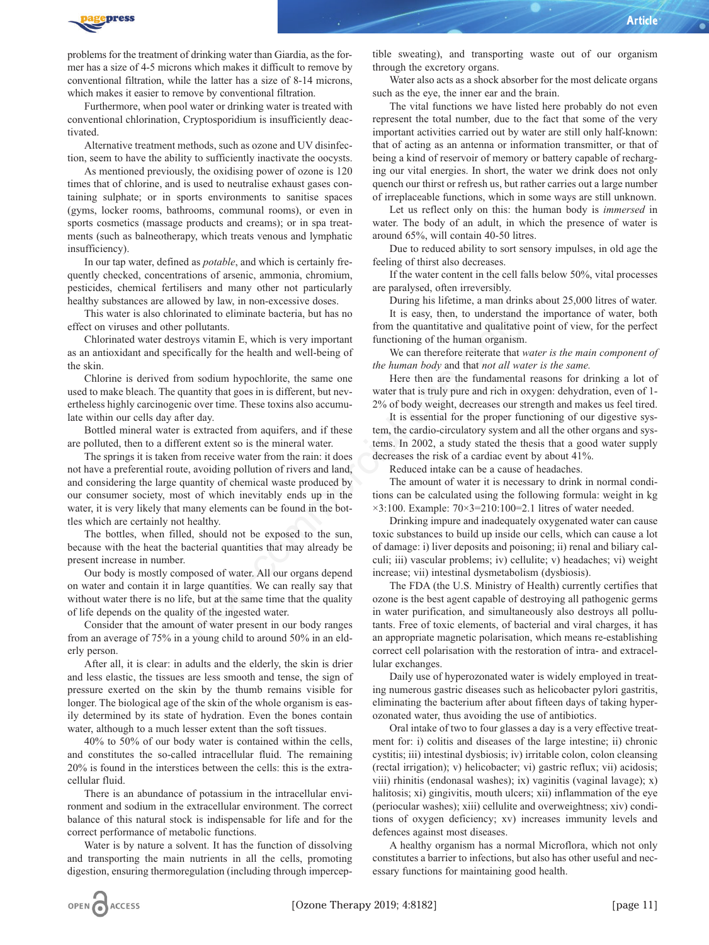

problems for the treatment of drinking water than Giardia, as the former has a size of 4-5 microns which makes it difficult to remove by conventional filtration, while the latter has a size of 8-14 microns, which makes it easier to remove by conventional filtration.

Furthermore, when pool water or drinking water is treated with conventional chlorination, Cryptosporidium is insufficiently deactivated.

Alternative treatment methods, such as ozone and UV disinfection, seem to have the ability to sufficiently inactivate the oocysts.

As mentioned previously, the oxidising power of ozone is 120 times that of chlorine, and is used to neutralise exhaust gases containing sulphate; or in sports environments to sanitise spaces (gyms, locker rooms, bathrooms, communal rooms), or even in sports cosmetics (massage products and creams); or in spa treatments (such as balneotherapy, which treats venous and lymphatic insufficiency).

In our tap water, defined as *potable*, and which is certainly frequently checked, concentrations of arsenic, ammonia, chromium, pesticides, chemical fertilisers and many other not particularly healthy substances are allowed by law, in non-excessive doses.

This water is also chlorinated to eliminate bacteria, but has no effect on viruses and other pollutants.

Chlorinated water destroys vitamin E, which is very important as an antioxidant and specifically for the health and well-being of the skin.

Chlorine is derived from sodium hypochlorite, the same one used to make bleach. The quantity that goes in is different, but nevertheless highly carcinogenic over time. These toxins also accumulate within our cells day after day.

Bottled mineral water is extracted from aquifers, and if these are polluted, then to a different extent so is the mineral water.

The springs it is taken from receive water from the rain: it does not have a preferential route, avoiding pollution of rivers and land, and considering the large quantity of chemical waste produced by our consumer society, most of which inevitably ends up in the water, it is very likely that many elements can be found in the bottles which are certainly not healthy. Thus in its easy, then, to understand the publishinal polluminate bacteria, but has no<br>
youty vitamin E, which is very important functioning of the human organism.<br>
freally for the health and well-being of the human organ

The bottles, when filled, should not be exposed to the sun, because with the heat the bacterial quantities that may already be present increase in number.

Our body is mostly composed of water. All our organs depend on water and contain it in large quantities. We can really say that without water there is no life, but at the same time that the quality of life depends on the quality of the ingested water.

Consider that the amount of water present in our body ranges from an average of 75% in a young child to around 50% in an elderly person.

After all, it is clear: in adults and the elderly, the skin is drier and less elastic, the tissues are less smooth and tense, the sign of pressure exerted on the skin by the thumb remains visible for longer. The biological age of the skin of the whole organism is easily determined by its state of hydration. Even the bones contain water, although to a much lesser extent than the soft tissues.

40% to 50% of our body water is contained within the cells, and constitutes the so-called intracellular fluid. The remaining 20% is found in the interstices between the cells: this is the extracellular fluid.

There is an abundance of potassium in the intracellular environment and sodium in the extracellular environment. The correct balance of this natural stock is indispensable for life and for the correct performance of metabolic functions.

Water is by nature a solvent. It has the function of dissolving and transporting the main nutrients in all the cells, promoting digestion, ensuring thermoregulation (including through imperceptible sweating), and transporting waste out of our organism through the excretory organs.

Water also acts as a shock absorber for the most delicate organs such as the eye, the inner ear and the brain.

The vital functions we have listed here probably do not even represent the total number, due to the fact that some of the very important activities carried out by water are still only half-known: that of acting as an antenna or information transmitter, or that of being a kind of reservoir of memory or battery capable of recharging our vital energies. In short, the water we drink does not only quench our thirst or refresh us, but rather carries out a large number of irreplaceable functions, which in some ways are still unknown.

Let us reflect only on this: the human body is *immersed* in water. The body of an adult, in which the presence of water is around 65%, will contain 40-50 litres.

Due to reduced ability to sort sensory impulses, in old age the feeling of thirst also decreases.

If the water content in the cell falls below 50%, vital processes are paralysed, often irreversibly.

During his lifetime, a man drinks about 25,000 litres of water.

It is easy, then, to understand the importance of water, both from the quantitative and qualitative point of view, for the perfect functioning of the human organism.

We can therefore reiterate that *water is the main component of the human body* and that *not all water is the same.*

Here then are the fundamental reasons for drinking a lot of water that is truly pure and rich in oxygen: dehydration, even of 1- 2% of body weight, decreases our strength and makes us feel tired.

It is essential for the proper functioning of our digestive system, the cardio-circulatory system and all the other organs and systems. In 2002, a study stated the thesis that a good water supply decreases the risk of a cardiac event by about 41%.

Reduced intake can be a cause of headaches.

The amount of water it is necessary to drink in normal conditions can be calculated using the following formula: weight in kg ×3:100. Example: 70×3=210:100=2.1 litres of water needed.

Drinking impure and inadequately oxygenated water can cause toxic substances to build up inside our cells, which can cause a lot of damage: i) liver deposits and poisoning; ii) renal and biliary calculi; iii) vascular problems; iv) cellulite; v) headaches; vi) weight increase; vii) intestinal dysmetabolism (dysbiosis).

The FDA (the U.S. Ministry of Health) currently certifies that ozone is the best agent capable of destroying all pathogenic germs in water purification, and simultaneously also destroys all pollutants. Free of toxic elements, of bacterial and viral charges, it has an appropriate magnetic polarisation, which means re-establishing correct cell polarisation with the restoration of intra- and extracellular exchanges.

Daily use of hyperozonated water is widely employed in treating numerous gastric diseases such as helicobacter pylori gastritis, eliminating the bacterium after about fifteen days of taking hyperozonated water, thus avoiding the use of antibiotics.

Oral intake of two to four glasses a day is a very effective treatment for: i) colitis and diseases of the large intestine; ii) chronic cystitis; iii) intestinal dysbiosis; iv) irritable colon, colon cleansing (rectal irrigation); v) helicobacter; vi) gastric reflux; vii) acidosis; viii) rhinitis (endonasal washes); ix) vaginitis (vaginal lavage); x) halitosis; xi) gingivitis, mouth ulcers; xii) inflammation of the eye (periocular washes); xiii) cellulite and overweightness; xiv) conditions of oxygen deficiency; xv) increases immunity levels and defences against most diseases.

A healthy organism has a normal Microflora, which not only constitutes a barrier to infections, but also has other useful and necessary functions for maintaining good health.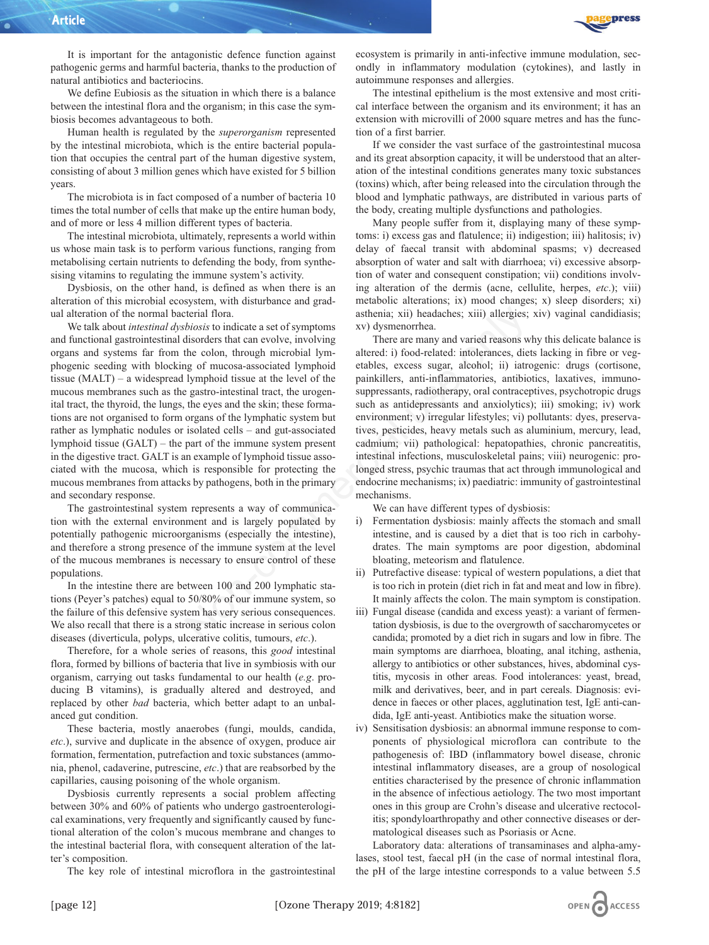It is important for the antagonistic defence function against pathogenic germs and harmful bacteria, thanks to the production of natural antibiotics and bacteriocins.

We define Eubiosis as the situation in which there is a balance between the intestinal flora and the organism; in this case the symbiosis becomes advantageous to both.

Human health is regulated by the *superorganism* represented by the intestinal microbiota, which is the entire bacterial population that occupies the central part of the human digestive system, consisting of about 3 million genes which have existed for 5 billion years.

The microbiota is in fact composed of a number of bacteria 10 times the total number of cells that make up the entire human body, and of more or less 4 million different types of bacteria.

The intestinal microbiota, ultimately, represents a world within us whose main task is to perform various functions, ranging from metabolising certain nutrients to defending the body, from synthesising vitamins to regulating the immune system's activity.

Dysbiosis, on the other hand, is defined as when there is an alteration of this microbial ecosystem, with disturbance and gradual alteration of the normal bacterial flora.

We talk about *intestinal dysbiosis* to indicate a set of symptoms and functional gastrointestinal disorders that can evolve, involving organs and systems far from the colon, through microbial lymphogenic seeding with blocking of mucosa-associated lymphoid tissue (MALT) – a widespread lymphoid tissue at the level of the mucous membranes such as the gastro-intestinal tract, the urogenital tract, the thyroid, the lungs, the eyes and the skin; these formations are not organised to form organs of the lymphatic system but rather as lymphatic nodules or isolated cells – and gut-associated lymphoid tissue (GALT) – the part of the immune system present in the digestive tract. GALT is an example of lymphoid tissue associated with the mucosa, which is responsible for protecting the mucous membranes from attacks by pathogens, both in the primary and secondary response.

The gastrointestinal system represents a way of communication with the external environment and is largely populated by potentially pathogenic microorganisms (especially the intestine), and therefore a strong presence of the immune system at the level of the mucous membranes is necessary to ensure control of these populations.

In the intestine there are between 100 and 200 lymphatic stations (Peyer's patches) equal to 50/80% of our immune system, so the failure of this defensive system has very serious consequences. We also recall that there is a strong static increase in serious colon diseases (diverticula, polyps, ulcerative colitis, tumours, *etc*.).

Therefore, for a whole series of reasons, this *good* intestinal flora, formed by billions of bacteria that live in symbiosis with our organism, carrying out tasks fundamental to our health (*e.g*. producing B vitamins), is gradually altered and destroyed, and replaced by other *bad* bacteria, which better adapt to an unbalanced gut condition.

These bacteria, mostly anaerobes (fungi, moulds, candida, *etc*.), survive and duplicate in the absence of oxygen, produce air formation, fermentation, putrefaction and toxic substances (ammonia, phenol, cadaverine, putrescine, *etc*.) that are reabsorbed by the capillaries, causing poisoning of the whole organism.

Dysbiosis currently represents a social problem affecting between 30% and 60% of patients who undergo gastroenterological examinations, very frequently and significantly caused by functional alteration of the colon's mucous membrane and changes to the intestinal bacterial flora, with consequent alteration of the latter's composition.

The key role of intestinal microflora in the gastrointestinal

ecosystem is primarily in anti-infective immune modulation, secondly in inflammatory modulation (cytokines), and lastly in autoimmune responses and allergies.

The intestinal epithelium is the most extensive and most critical interface between the organism and its environment; it has an extension with microvilli of 2000 square metres and has the function of a first barrier.

If we consider the vast surface of the gastrointestinal mucosa and its great absorption capacity, it will be understood that an alteration of the intestinal conditions generates many toxic substances (toxins) which, after being released into the circulation through the blood and lymphatic pathways, are distributed in various parts of the body, creating multiple dysfunctions and pathologies.

Many people suffer from it, displaying many of these symptoms: i) excess gas and flatulence; ii) indigestion; iii) halitosis; iv) delay of faecal transit with abdominal spasms; v) decreased absorption of water and salt with diarrhoea; vi) excessive absorption of water and consequent constipation; vii) conditions involving alteration of the dermis (acne, cellulite, herpes, *etc*.); viii) metabolic alterations; ix) mood changes; x) sleep disorders; xi) asthenia; xii) headaches; xiii) allergies; xiv) vaginal candidiasis; xv) dysmenorrhea.

There are many and varied reasons why this delicate balance is altered: i) food-related: intolerances, diets lacking in fibre or vegetables, excess sugar, alcohol; ii) iatrogenic: drugs (cortisone, painkillers, anti-inflammatories, antibiotics, laxatives, immunosuppressants, radiotherapy, oral contraceptives, psychotropic drugs such as antidepressants and anxiolytics); iii) smoking; iv) work environment; v) irregular lifestyles; vi) pollutants: dyes, preservatives, pesticides, heavy metals such as aluminium, mercury, lead, cadmium; vii) pathological: hepatopathies, chronic pancreatitis, intestinal infections, musculoskeletal pains; viii) neurogenic: prolonged stress, psychic traumas that act through immunological and endocrine mechanisms; ix) paediatric: immunity of gastrointestinal mechanisms. terial flora.<br>
asthenia; xii) headaches; xiii) allergies;<br>
bisoirs to indicate a set of symptoms<br>
xv) dysmomethear.<br>
alisorders that can evolve, involving<br>
There are many and varied reasons whe<br>
the colon, through microbi

We can have different types of dysbiosis:

- i) Fermentation dysbiosis: mainly affects the stomach and small intestine, and is caused by a diet that is too rich in carbohydrates. The main symptoms are poor digestion, abdominal bloating, meteorism and flatulence.
- ii) Putrefactive disease: typical of western populations, a diet that is too rich in protein (diet rich in fat and meat and low in fibre). It mainly affects the colon. The main symptom is constipation.
- iii) Fungal disease (candida and excess yeast): a variant of fermentation dysbiosis, is due to the overgrowth of saccharomycetes or candida; promoted by a diet rich in sugars and low in fibre. The main symptoms are diarrhoea, bloating, anal itching, asthenia, allergy to antibiotics or other substances, hives, abdominal cystitis, mycosis in other areas. Food intolerances: yeast, bread, milk and derivatives, beer, and in part cereals. Diagnosis: evidence in faeces or other places, agglutination test, IgE anti-candida, IgE anti-yeast. Antibiotics make the situation worse.
- iv) Sensitisation dysbiosis: an abnormal immune response to components of physiological microflora can contribute to the pathogenesis of: IBD (inflammatory bowel disease, chronic intestinal inflammatory diseases, are a group of nosological entities characterised by the presence of chronic inflammation in the absence of infectious aetiology. The two most important ones in this group are Crohn's disease and ulcerative rectocolitis; spondyloarthropathy and other connective diseases or dermatological diseases such as Psoriasis or Acne.

Laboratory data: alterations of transaminases and alpha-amylases, stool test, faecal pH (in the case of normal intestinal flora, the pH of the large intestine corresponds to a value between 5.5

OPEN ACCESS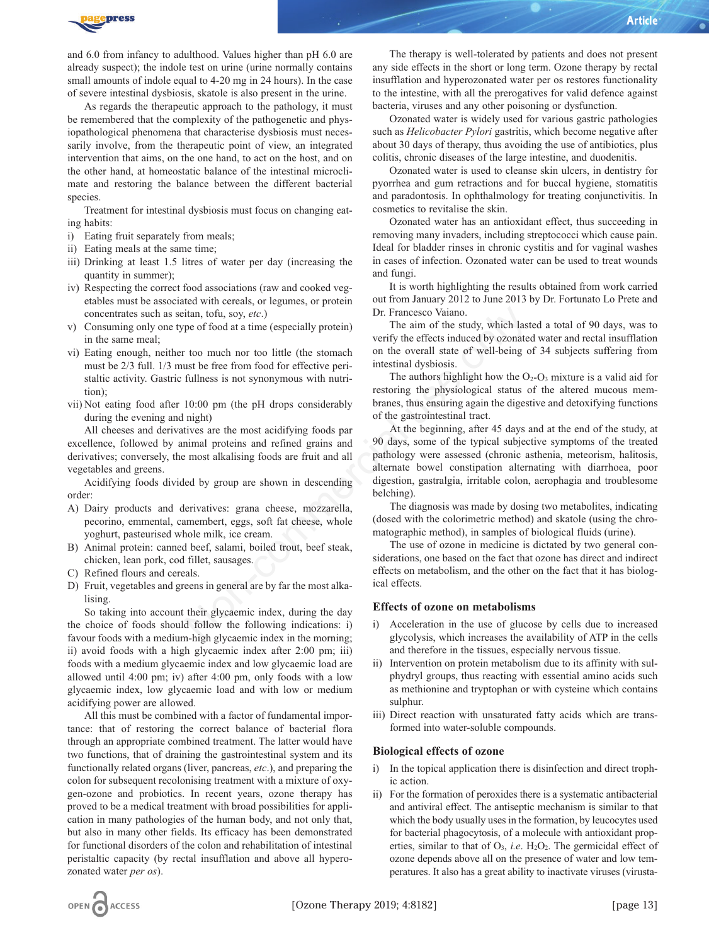

and 6.0 from infancy to adulthood. Values higher than pH 6.0 are already suspect); the indole test on urine (urine normally contains small amounts of indole equal to 4-20 mg in 24 hours). In the case of severe intestinal dysbiosis, skatole is also present in the urine.

As regards the therapeutic approach to the pathology, it must be remembered that the complexity of the pathogenetic and physiopathological phenomena that characterise dysbiosis must necessarily involve, from the therapeutic point of view, an integrated intervention that aims, on the one hand, to act on the host, and on the other hand, at homeostatic balance of the intestinal microclimate and restoring the balance between the different bacterial species.

Treatment for intestinal dysbiosis must focus on changing eating habits:

- i) Eating fruit separately from meals;
- ii) Eating meals at the same time;
- iii) Drinking at least 1.5 litres of water per day (increasing the quantity in summer);
- iv) Respecting the correct food associations (raw and cooked vegetables must be associated with cereals, or legumes, or protein concentrates such as seitan, tofu, soy, *etc*.)
- v) Consuming only one type of food at a time (especially protein) in the same meal;
- vi) Eating enough, neither too much nor too little (the stomach must be 2/3 full. 1/3 must be free from food for effective peristaltic activity. Gastric fullness is not synonymous with nutrition);
- vii) Not eating food after 10:00 pm (the pH drops considerably during the evening and night)

All cheeses and derivatives are the most acidifying foods par excellence, followed by animal proteins and refined grains and derivatives; conversely, the most alkalising foods are fruit and all vegetables and greens.

Acidifying foods divided by group are shown in descending order:

- A) Dairy products and derivatives: grana cheese, mozzarella, pecorino, emmental, camembert, eggs, soft fat cheese, whole yoghurt, pasteurised whole milk, ice cream.
- B) Animal protein: canned beef, salami, boiled trout, beef steak, chicken, lean pork, cod fillet, sausages.
- C) Refined flours and cereals.
- D) Fruit, vegetables and greens in general are by far the most alkalising.

So taking into account their glycaemic index, during the day the choice of foods should follow the following indications: i) favour foods with a medium-high glycaemic index in the morning; ii) avoid foods with a high glycaemic index after 2:00 pm; iii) foods with a medium glycaemic index and low glycaemic load are allowed until 4:00 pm; iv) after 4:00 pm, only foods with a low glycaemic index, low glycaemic load and with low or medium acidifying power are allowed.

All this must be combined with a factor of fundamental importance: that of restoring the correct balance of bacterial flora through an appropriate combined treatment. The latter would have two functions, that of draining the gastrointestinal system and its functionally related organs (liver, pancreas, *etc*.), and preparing the colon for subsequent recolonising treatment with a mixture of oxygen-ozone and probiotics. In recent years, ozone therapy has proved to be a medical treatment with broad possibilities for application in many pathologies of the human body, and not only that, but also in many other fields. Its efficacy has been demonstrated for functional disorders of the colon and rehabilitation of intestinal peristaltic capacity (by rectal insufflation and above all hyperozonated water *per os*).

The therapy is well-tolerated by patients and does not present any side effects in the short or long term. Ozone therapy by rectal insufflation and hyperozonated water per os restores functionality to the intestine, with all the prerogatives for valid defence against bacteria, viruses and any other poisoning or dysfunction.

Ozonated water is widely used for various gastric pathologies such as *Helicobacter Pylori* gastritis, which become negative after about 30 days of therapy, thus avoiding the use of antibiotics, plus colitis, chronic diseases of the large intestine, and duodenitis.

Ozonated water is used to cleanse skin ulcers, in dentistry for pyorrhea and gum retractions and for buccal hygiene, stomatitis and paradontosis. In ophthalmology for treating conjunctivitis. In cosmetics to revitalise the skin.

Ozonated water has an antioxidant effect, thus succeeding in removing many invaders, including streptococci which cause pain. Ideal for bladder rinses in chronic cystitis and for vaginal washes in cases of infection. Ozonated water can be used to treat wounds and fungi.

It is worth highlighting the results obtained from work carried out from January 2012 to June 2013 by Dr. Fortunato Lo Prete and Dr. Francesco Vaiano.

The aim of the study, which lasted a total of 90 days, was to verify the effects induced by ozonated water and rectal insufflation on the overall state of well-being of 34 subjects suffering from intestinal dysbiosis.

The authors highlight how the  $O_2-O_3$  mixture is a valid aid for restoring the physiological status of the altered mucous membranes, thus ensuring again the digestive and detoxifying functions of the gastrointestinal tract.

At the beginning, after 45 days and at the end of the study, at 90 days, some of the typical subjective symptoms of the treated pathology were assessed (chronic asthenia, meteorism, halitosis, alternate bowel constipation alternating with diarrhoea, poor digestion, gastralgia, irritable colon, aerophagia and troublesome belching). itan, tofu, soy, *etc.*)<br>
Dr. Francesco Vaiano.<br>
The aim of the study, which las<br>
verify the effects induced by ozonate<br>
too much nor too little (the stomach on the overall state of well-being c<br>
sus to free from food for

The diagnosis was made by dosing two metabolites, indicating (dosed with the colorimetric method) and skatole (using the chromatographic method), in samples of biological fluids (urine).

The use of ozone in medicine is dictated by two general considerations, one based on the fact that ozone has direct and indirect effects on metabolism, and the other on the fact that it has biological effects.

#### **Effects of ozone on metabolisms**

- i) Acceleration in the use of glucose by cells due to increased glycolysis, which increases the availability of ATP in the cells and therefore in the tissues, especially nervous tissue.
- ii) Intervention on protein metabolism due to its affinity with sulphydryl groups, thus reacting with essential amino acids such as methionine and tryptophan or with cysteine which contains sulphur.
- iii) Direct reaction with unsaturated fatty acids which are transformed into water-soluble compounds.

#### **Biological effects of ozone**

- i) In the topical application there is disinfection and direct trophic action.
- ii) For the formation of peroxides there is a systematic antibacterial and antiviral effect. The antiseptic mechanism is similar to that which the body usually uses in the formation, by leucocytes used for bacterial phagocytosis, of a molecule with antioxidant properties, similar to that of  $O_3$ , *i.e.*  $H_2O_2$ . The germicidal effect of ozone depends above all on the presence of water and low temperatures. It also has a great ability to inactivate viruses (virusta-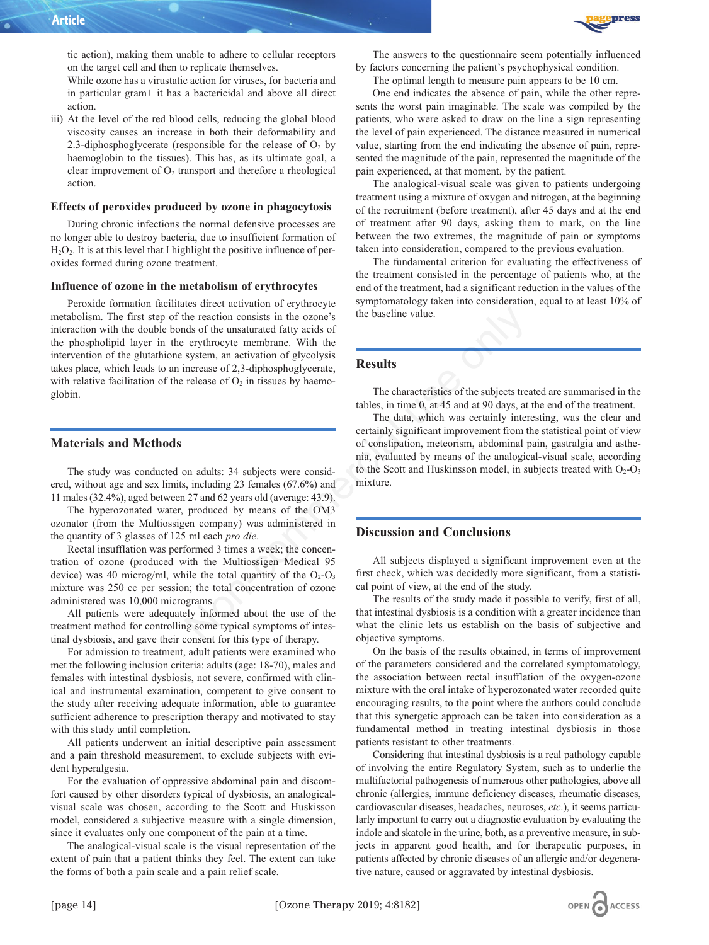

tic action), making them unable to adhere to cellular receptors on the target cell and then to replicate themselves.

While ozone has a virustatic action for viruses, for bacteria and in particular gram+ it has a bactericidal and above all direct action.

iii) At the level of the red blood cells, reducing the global blood viscosity causes an increase in both their deformability and 2.3-diphosphoglycerate (responsible for the release of  $O_2$  by haemoglobin to the tissues). This has, as its ultimate goal, a clear improvement of  $O<sub>2</sub>$  transport and therefore a rheological action.

#### **Effects of peroxides produced by ozone in phagocytosis**

During chronic infections the normal defensive processes are no longer able to destroy bacteria, due to insufficient formation of  $H<sub>2</sub>O<sub>2</sub>$ . It is at this level that I highlight the positive influence of peroxides formed during ozone treatment.

## **Influence of ozone in the metabolism of erythrocytes**

Peroxide formation facilitates direct activation of erythrocyte metabolism. The first step of the reaction consists in the ozone's interaction with the double bonds of the unsaturated fatty acids of the phospholipid layer in the erythrocyte membrane. With the intervention of the glutathione system, an activation of glycolysis takes place, which leads to an increase of 2,3-diphosphoglycerate, with relative facilitation of the release of  $O<sub>2</sub>$  in tissues by haemoglobin. The measure of the mass in the oriental data of the baseline value.<br>
The reaction consists in the oriental data of the unstantated fatty acids of<br>
system, an activation of glycolysis<br>
system, an activation of glycolysis<br>

#### **Materials and Methods**

The study was conducted on adults: 34 subjects were considered, without age and sex limits, including 23 females (67.6%) and 11 males (32.4%), aged between 27 and 62 years old (average: 43.9).

The hyperozonated water, produced by means of the OM3 ozonator (from the Multiossigen company) was administered in the quantity of 3 glasses of 125 ml each *pro die*.

Rectal insufflation was performed 3 times a week; the concentration of ozone (produced with the Multiossigen Medical 95 device) was 40 microg/ml, while the total quantity of the  $O_2-O_3$ mixture was 250 cc per session; the total concentration of ozone administered was 10,000 micrograms.

All patients were adequately informed about the use of the treatment method for controlling some typical symptoms of intestinal dysbiosis, and gave their consent for this type of therapy.

For admission to treatment, adult patients were examined who met the following inclusion criteria: adults (age: 18-70), males and females with intestinal dysbiosis, not severe, confirmed with clinical and instrumental examination, competent to give consent to the study after receiving adequate information, able to guarantee sufficient adherence to prescription therapy and motivated to stay with this study until completion.

All patients underwent an initial descriptive pain assessment and a pain threshold measurement, to exclude subjects with evident hyperalgesia.

For the evaluation of oppressive abdominal pain and discomfort caused by other disorders typical of dysbiosis, an analogicalvisual scale was chosen, according to the Scott and Huskisson model, considered a subjective measure with a single dimension, since it evaluates only one component of the pain at a time.

The analogical-visual scale is the visual representation of the extent of pain that a patient thinks they feel. The extent can take the forms of both a pain scale and a pain relief scale.

The optimal length to measure pain appears to be 10 cm.

One end indicates the absence of pain, while the other represents the worst pain imaginable. The scale was compiled by the patients, who were asked to draw on the line a sign representing the level of pain experienced. The distance measured in numerical value, starting from the end indicating the absence of pain, represented the magnitude of the pain, represented the magnitude of the pain experienced, at that moment, by the patient.

The analogical-visual scale was given to patients undergoing treatment using a mixture of oxygen and nitrogen, at the beginning of the recruitment (before treatment), after 45 days and at the end of treatment after 90 days, asking them to mark, on the line between the two extremes, the magnitude of pain or symptoms taken into consideration, compared to the previous evaluation.

The fundamental criterion for evaluating the effectiveness of the treatment consisted in the percentage of patients who, at the end of the treatment, had a significant reduction in the values of the symptomatology taken into consideration, equal to at least 10% of the baseline value.

## **Results**

The characteristics of the subjects treated are summarised in the tables, in time 0, at 45 and at 90 days, at the end of the treatment.

The data, which was certainly interesting, was the clear and certainly significant improvement from the statistical point of view of constipation, meteorism, abdominal pain, gastralgia and asthenia, evaluated by means of the analogical-visual scale, according to the Scott and Huskinsson model, in subjects treated with  $O_2-O_3$ mixture.

## **Discussion and Conclusions**

All subjects displayed a significant improvement even at the first check, which was decidedly more significant, from a statistical point of view, at the end of the study.

The results of the study made it possible to verify, first of all, that intestinal dysbiosis is a condition with a greater incidence than what the clinic lets us establish on the basis of subjective and objective symptoms.

On the basis of the results obtained, in terms of improvement of the parameters considered and the correlated symptomatology, the association between rectal insufflation of the oxygen-ozone mixture with the oral intake of hyperozonated water recorded quite encouraging results, to the point where the authors could conclude that this synergetic approach can be taken into consideration as a fundamental method in treating intestinal dysbiosis in those patients resistant to other treatments.

Considering that intestinal dysbiosis is a real pathology capable of involving the entire Regulatory System, such as to underlie the multifactorial pathogenesis of numerous other pathologies, above all chronic (allergies, immune deficiency diseases, rheumatic diseases, cardiovascular diseases, headaches, neuroses, *etc*.), it seems particularly important to carry out a diagnostic evaluation by evaluating the indole and skatole in the urine, both, as a preventive measure, in subjects in apparent good health, and for therapeutic purposes, in patients affected by chronic diseases of an allergic and/or degenerative nature, caused or aggravated by intestinal dysbiosis.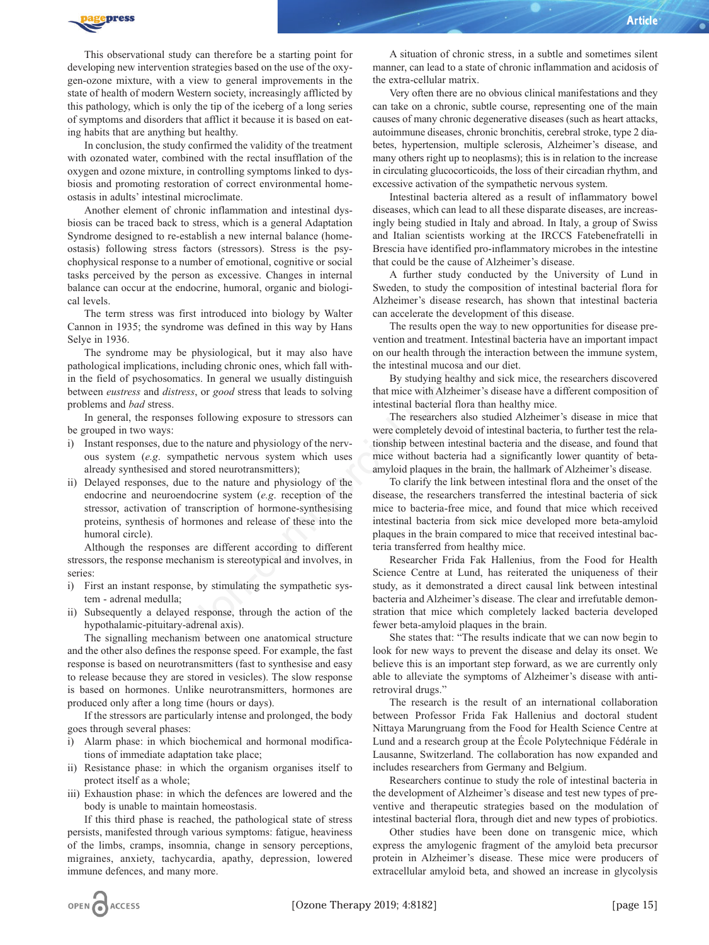

This observational study can therefore be a starting point for developing new intervention strategies based on the use of the oxygen-ozone mixture, with a view to general improvements in the state of health of modern Western society, increasingly afflicted by this pathology, which is only the tip of the iceberg of a long series of symptoms and disorders that afflict it because it is based on eating habits that are anything but healthy.

In conclusion, the study confirmed the validity of the treatment with ozonated water, combined with the rectal insufflation of the oxygen and ozone mixture, in controlling symptoms linked to dysbiosis and promoting restoration of correct environmental homeostasis in adults' intestinal microclimate.

Another element of chronic inflammation and intestinal dysbiosis can be traced back to stress, which is a general Adaptation Syndrome designed to re-establish a new internal balance (homeostasis) following stress factors (stressors). Stress is the psychophysical response to a number of emotional, cognitive or social tasks perceived by the person as excessive. Changes in internal balance can occur at the endocrine, humoral, organic and biological levels.

The term stress was first introduced into biology by Walter Cannon in 1935; the syndrome was defined in this way by Hans Selye in 1936.

The syndrome may be physiological, but it may also have pathological implications, including chronic ones, which fall within the field of psychosomatics. In general we usually distinguish between *eustress* and *distress*, or *good* stress that leads to solving problems and *bad* stress.

In general, the responses following exposure to stressors can be grouped in two ways:

- i) Instant responses, due to the nature and physiology of the nervous system (*e.g*. sympathetic nervous system which uses already synthesised and stored neurotransmitters);
- ii) Delayed responses, due to the nature and physiology of the endocrine and neuroendocrine system (*e.g*. reception of the stressor, activation of transcription of hormone-synthesising proteins, synthesis of hormones and release of these into the humoral circle).

Although the responses are different according to different stressors, the response mechanism is stereotypical and involves, in series:

- i) First an instant response, by stimulating the sympathetic system - adrenal medulla;
- ii) Subsequently a delayed response, through the action of the hypothalamic-pituitary-adrenal axis).

The signalling mechanism between one anatomical structure and the other also defines the response speed. For example, the fast response is based on neurotransmitters (fast to synthesise and easy to release because they are stored in vesicles). The slow response is based on hormones. Unlike neurotransmitters, hormones are produced only after a long time (hours or days).

If the stressors are particularly intense and prolonged, the body goes through several phases:

- i) Alarm phase: in which biochemical and hormonal modifications of immediate adaptation take place;
- ii) Resistance phase: in which the organism organises itself to protect itself as a whole;
- iii) Exhaustion phase: in which the defences are lowered and the body is unable to maintain homeostasis.

If this third phase is reached, the pathological state of stress persists, manifested through various symptoms: fatigue, heaviness of the limbs, cramps, insomnia, change in sensory perceptions, migraines, anxiety, tachycardia, apathy, depression, lowered immune defences, and many more.

A situation of chronic stress, in a subtle and sometimes silent manner, can lead to a state of chronic inflammation and acidosis of the extra-cellular matrix.

Very often there are no obvious clinical manifestations and they can take on a chronic, subtle course, representing one of the main causes of many chronic degenerative diseases (such as heart attacks, autoimmune diseases, chronic bronchitis, cerebral stroke, type 2 diabetes, hypertension, multiple sclerosis, Alzheimer's disease, and many others right up to neoplasms); this is in relation to the increase in circulating glucocorticoids, the loss of their circadian rhythm, and excessive activation of the sympathetic nervous system.

Intestinal bacteria altered as a result of inflammatory bowel diseases, which can lead to all these disparate diseases, are increasingly being studied in Italy and abroad. In Italy, a group of Swiss and Italian scientists working at the IRCCS Fatebenefratelli in Brescia have identified pro-inflammatory microbes in the intestine that could be the cause of Alzheimer's disease.

A further study conducted by the University of Lund in Sweden, to study the composition of intestinal bacterial flora for Alzheimer's disease research, has shown that intestinal bacteria can accelerate the development of this disease.

The results open the way to new opportunities for disease prevention and treatment. Intestinal bacteria have an important impact on our health through the interaction between the immune system, the intestinal mucosa and our diet.

By studying healthy and sick mice, the researchers discovered that mice with Alzheimer's disease have a different composition of intestinal bacterial flora than healthy mice.

The researchers also studied Alzheimer's disease in mice that were completely devoid of intestinal bacteria, to further test the relationship between intestinal bacteria and the disease, and found that mice without bacteria had a significantly lower quantity of betaamyloid plaques in the brain, the hallmark of Alzheimer's disease.

To clarify the link between intestinal flora and the onset of the disease, the researchers transferred the intestinal bacteria of sick mice to bacteria-free mice, and found that mice which received intestinal bacteria from sick mice developed more beta-amyloid plaques in the brain compared to mice that received intestinal bacteria transferred from healthy mice.

Researcher Frida Fak Hallenius, from the Food for Health Science Centre at Lund, has reiterated the uniqueness of their study, as it demonstrated a direct causal link between intestinal bacteria and Alzheimer's disease. The clear and irrefutable demonstration that mice which completely lacked bacteria developed fewer beta-amyloid plaques in the brain. Irst introduced into biology by Walter<br>
The results open the way to the sells of the various of the various of the various of the sells of the various of the sells of the sells of the sells of the sells of the sells of sit

She states that: "The results indicate that we can now begin to look for new ways to prevent the disease and delay its onset. We believe this is an important step forward, as we are currently only able to alleviate the symptoms of Alzheimer's disease with antiretroviral drugs."

The research is the result of an international collaboration between Professor Frida Fak Hallenius and doctoral student Nittaya Marungruang from the Food for Health Science Centre at Lund and a research group at the École Polytechnique Fédérale in Lausanne, Switzerland. The collaboration has now expanded and includes researchers from Germany and Belgium.

Researchers continue to study the role of intestinal bacteria in the development of Alzheimer's disease and test new types of preventive and therapeutic strategies based on the modulation of intestinal bacterial flora, through diet and new types of probiotics.

Other studies have been done on transgenic mice, which express the amylogenic fragment of the amyloid beta precursor protein in Alzheimer's disease. These mice were producers of extracellular amyloid beta, and showed an increase in glycolysis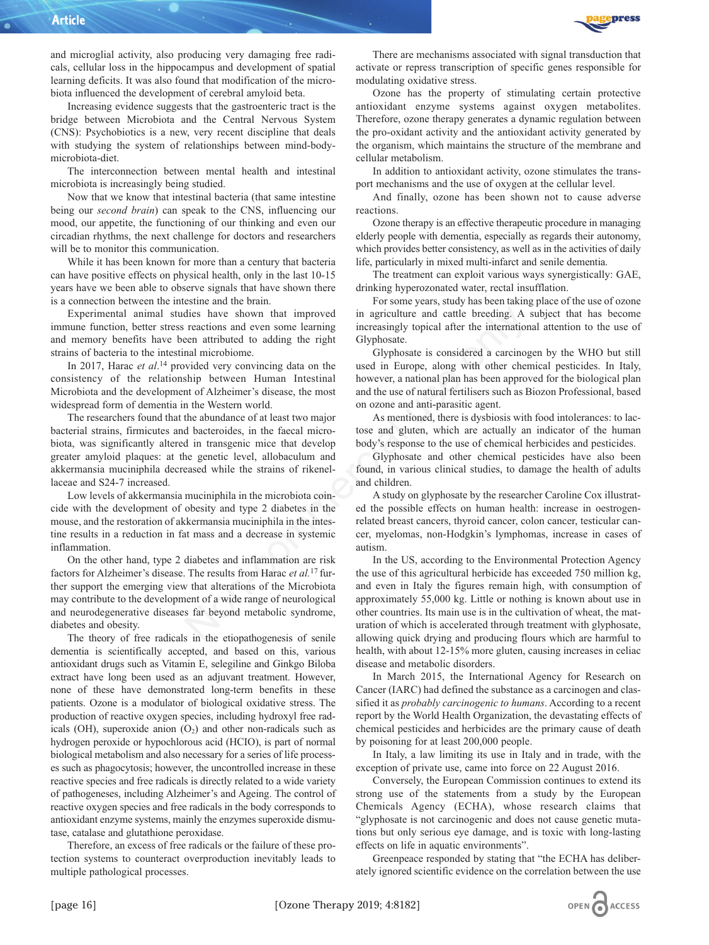and microglial activity, also producing very damaging free radicals, cellular loss in the hippocampus and development of spatial learning deficits. It was also found that modification of the microbiota influenced the development of cerebral amyloid beta.

Increasing evidence suggests that the gastroenteric tract is the bridge between Microbiota and the Central Nervous System (CNS): Psychobiotics is a new, very recent discipline that deals with studying the system of relationships between mind-bodymicrobiota-diet.

The interconnection between mental health and intestinal microbiota is increasingly being studied.

Now that we know that intestinal bacteria (that same intestine being our *second brain*) can speak to the CNS, influencing our mood, our appetite, the functioning of our thinking and even our circadian rhythms, the next challenge for doctors and researchers will be to monitor this communication.

While it has been known for more than a century that bacteria can have positive effects on physical health, only in the last 10-15 years have we been able to observe signals that have shown there is a connection between the intestine and the brain.

Experimental animal studies have shown that improved immune function, better stress reactions and even some learning and memory benefits have been attributed to adding the right strains of bacteria to the intestinal microbiome.

In 2017, Harac *et al*. <sup>14</sup> provided very convincing data on the consistency of the relationship between Human Intestinal Microbiota and the development of Alzheimer's disease, the most widespread form of dementia in the Western world.

The researchers found that the abundance of at least two major bacterial strains, firmicutes and bacteroides, in the faecal microbiota, was significantly altered in transgenic mice that develop greater amyloid plaques: at the genetic level, allobaculum and akkermansia muciniphila decreased while the strains of rikenellaceae and S24-7 increased.

Low levels of akkermansia muciniphila in the microbiota coincide with the development of obesity and type 2 diabetes in the mouse, and the restoration of akkermansia muciniphila in the intestine results in a reduction in fat mass and a decrease in systemic inflammation.

On the other hand, type 2 diabetes and inflammation are risk factors for Alzheimer's disease. The results from Harac *et al.*17 further support the emerging view that alterations of the Microbiota may contribute to the development of a wide range of neurological and neurodegenerative diseases far beyond metabolic syndrome, diabetes and obesity.

The theory of free radicals in the etiopathogenesis of senile dementia is scientifically accepted, and based on this, various antioxidant drugs such as Vitamin E, selegiline and Ginkgo Biloba extract have long been used as an adjuvant treatment. However, none of these have demonstrated long-term benefits in these patients. Ozone is a modulator of biological oxidative stress. The production of reactive oxygen species, including hydroxyl free radicals (OH), superoxide anion  $(O_2)$  and other non-radicals such as hydrogen peroxide or hypochlorous acid (HCIO), is part of normal biological metabolism and also necessary for a series of life processes such as phagocytosis; however, the uncontrolled increase in these reactive species and free radicals is directly related to a wide variety of pathogeneses, including Alzheimer's and Ageing. The control of reactive oxygen species and free radicals in the body corresponds to antioxidant enzyme systems, mainly the enzymes superoxide dismutase, catalase and glutathione peroxidase.

Therefore, an excess of free radicals or the failure of these protection systems to counteract overproduction inevitably leads to multiple pathological processes.



There are mechanisms associated with signal transduction that activate or repress transcription of specific genes responsible for modulating oxidative stress.

Ozone has the property of stimulating certain protective antioxidant enzyme systems against oxygen metabolites. Therefore, ozone therapy generates a dynamic regulation between the pro-oxidant activity and the antioxidant activity generated by the organism, which maintains the structure of the membrane and cellular metabolism.

In addition to antioxidant activity, ozone stimulates the transport mechanisms and the use of oxygen at the cellular level.

And finally, ozone has been shown not to cause adverse reactions.

Ozone therapy is an effective therapeutic procedure in managing elderly people with dementia, especially as regards their autonomy, which provides better consistency, as well as in the activities of daily life, particularly in mixed multi-infarct and senile dementia.

The treatment can exploit various ways synergistically: GAE, drinking hyperozonated water, rectal insufflation.

For some years, study has been taking place of the use of ozone in agriculture and cattle breeding. A subject that has become increasingly topical after the international attention to the use of Glyphosate.

Glyphosate is considered a carcinogen by the WHO but still used in Europe, along with other chemical pesticides. In Italy, however, a national plan has been approved for the biological plan and the use of natural fertilisers such as Biozon Professional, based on ozone and anti-parasitic agent.

As mentioned, there is dysbiosis with food intolerances: to lactose and gluten, which are actually an indicator of the human body's response to the use of chemical herbicides and pesticides.

Glyphosate and other chemical pesticides have also been found, in various clinical studies, to damage the health of adults and children.

A study on glyphosate by the researcher Caroline Cox illustrated the possible effects on human health: increase in oestrogenrelated breast cancers, thyroid cancer, colon cancer, testicular cancer, myelomas, non-Hodgkin's lymphomas, increase in cases of autism.

In the US, according to the Environmental Protection Agency the use of this agricultural herbicide has exceeded 750 million kg, and even in Italy the figures remain high, with consumption of approximately 55,000 kg. Little or nothing is known about use in other countries. Its main use is in the cultivation of wheat, the maturation of which is accelerated through treatment with glyphosate, allowing quick drying and producing flours which are harmful to health, with about 12-15% more gluten, causing increases in celiac disease and metabolic disorders. dies have shown that improved<br>
in agriculture and cattle breeding. A<br>
reacn attributed to adding the right<br>
collyphosate.<br>
and microbiome.<br>
complements in Glyphosate is considered a carcinog<br>
wided very convincing data on

> In March 2015, the International Agency for Research on Cancer (IARC) had defined the substance as a carcinogen and classified it as *probably carcinogenic to humans*. According to a recent report by the World Health Organization, the devastating effects of chemical pesticides and herbicides are the primary cause of death by poisoning for at least 200,000 people.

> In Italy, a law limiting its use in Italy and in trade, with the exception of private use, came into force on 22 August 2016.

> Conversely, the European Commission continues to extend its strong use of the statements from a study by the European Chemicals Agency (ECHA), whose research claims that "glyphosate is not carcinogenic and does not cause genetic mutations but only serious eye damage, and is toxic with long-lasting effects on life in aquatic environments".

> Greenpeace responded by stating that "the ECHA has deliberately ignored scientific evidence on the correlation between the use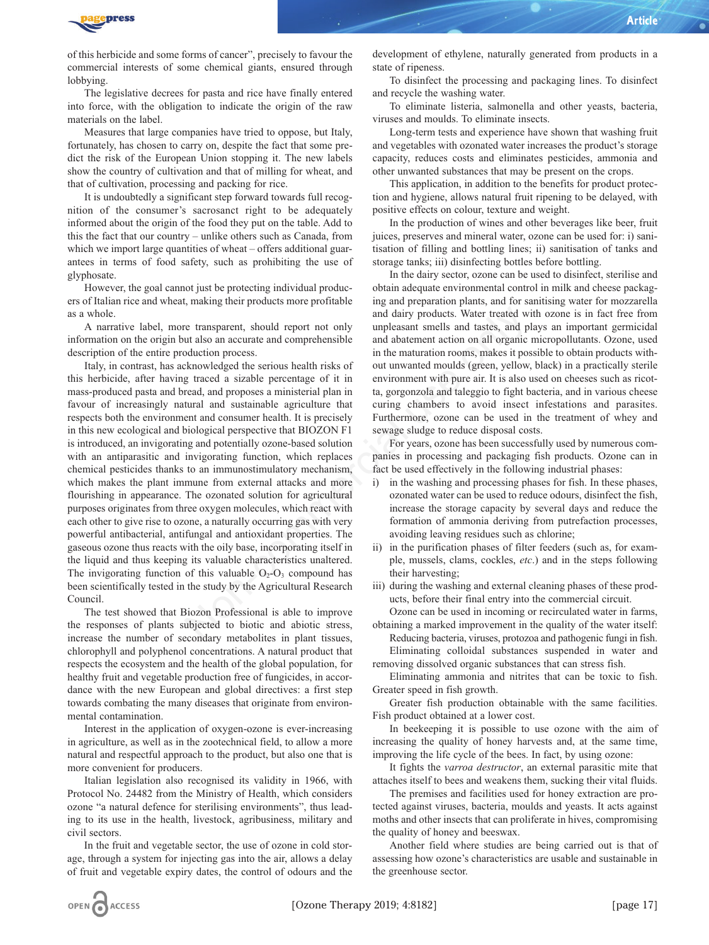

of this herbicide and some forms of cancer", precisely to favour the commercial interests of some chemical giants, ensured through lobbying.

The legislative decrees for pasta and rice have finally entered into force, with the obligation to indicate the origin of the raw materials on the label.

Measures that large companies have tried to oppose, but Italy, fortunately, has chosen to carry on, despite the fact that some predict the risk of the European Union stopping it. The new labels show the country of cultivation and that of milling for wheat, and that of cultivation, processing and packing for rice.

It is undoubtedly a significant step forward towards full recognition of the consumer's sacrosanct right to be adequately informed about the origin of the food they put on the table. Add to this the fact that our country – unlike others such as Canada, from which we import large quantities of wheat – offers additional guarantees in terms of food safety, such as prohibiting the use of glyphosate.

However, the goal cannot just be protecting individual producers of Italian rice and wheat, making their products more profitable as a whole.

A narrative label, more transparent, should report not only information on the origin but also an accurate and comprehensible description of the entire production process.

Italy, in contrast, has acknowledged the serious health risks of this herbicide, after having traced a sizable percentage of it in mass-produced pasta and bread, and proposes a ministerial plan in favour of increasingly natural and sustainable agriculture that respects both the environment and consumer health. It is precisely in this new ecological and biological perspective that BIOZON F1 is introduced, an invigorating and potentially ozone-based solution with an antiparasitic and invigorating function, which replaces chemical pesticides thanks to an immunostimulatory mechanism, which makes the plant immune from external attacks and more flourishing in appearance. The ozonated solution for agricultural purposes originates from three oxygen molecules, which react with each other to give rise to ozone, a naturally occurring gas with very powerful antibacterial, antifungal and antioxidant properties. The gaseous ozone thus reacts with the oily base, incorporating itself in the liquid and thus keeping its valuable characteristics unaltered. The invigorating function of this valuable  $O_2-O_3$  compound has been scientifically tested in the study by the Agricultural Research Council. e transparent, should report not only<br>
and dairy products. Water treated w<br>
ut also an accurate and comprehensible<br>
and abatement action on all organic<br>
oduction process.<br>
Schowledged the serious health risks of<br>
in the m

The test showed that Biozon Professional is able to improve the responses of plants subjected to biotic and abiotic stress, increase the number of secondary metabolites in plant tissues, chlorophyll and polyphenol concentrations. A natural product that respects the ecosystem and the health of the global population, for healthy fruit and vegetable production free of fungicides, in accordance with the new European and global directives: a first step towards combating the many diseases that originate from environmental contamination.

Interest in the application of oxygen-ozone is ever-increasing in agriculture, as well as in the zootechnical field, to allow a more natural and respectful approach to the product, but also one that is more convenient for producers.

Italian legislation also recognised its validity in 1966, with Protocol No. 24482 from the Ministry of Health, which considers ozone "a natural defence for sterilising environments", thus leading to its use in the health, livestock, agribusiness, military and civil sectors.

In the fruit and vegetable sector, the use of ozone in cold storage, through a system for injecting gas into the air, allows a delay of fruit and vegetable expiry dates, the control of odours and the

development of ethylene, naturally generated from products in a state of ripeness.

To disinfect the processing and packaging lines. To disinfect and recycle the washing water.

To eliminate listeria, salmonella and other yeasts, bacteria, viruses and moulds. To eliminate insects.

Long-term tests and experience have shown that washing fruit and vegetables with ozonated water increases the product's storage capacity, reduces costs and eliminates pesticides, ammonia and other unwanted substances that may be present on the crops.

This application, in addition to the benefits for product protection and hygiene, allows natural fruit ripening to be delayed, with positive effects on colour, texture and weight.

In the production of wines and other beverages like beer, fruit juices, preserves and mineral water, ozone can be used for: i) sanitisation of filling and bottling lines; ii) sanitisation of tanks and storage tanks; iii) disinfecting bottles before bottling.

In the dairy sector, ozone can be used to disinfect, sterilise and obtain adequate environmental control in milk and cheese packaging and preparation plants, and for sanitising water for mozzarella and dairy products. Water treated with ozone is in fact free from unpleasant smells and tastes, and plays an important germicidal and abatement action on all organic micropollutants. Ozone, used in the maturation rooms, makes it possible to obtain products without unwanted moulds (green, yellow, black) in a practically sterile environment with pure air. It is also used on cheeses such as ricotta, gorgonzola and taleggio to fight bacteria, and in various cheese curing chambers to avoid insect infestations and parasites. Furthermore, ozone can be used in the treatment of whey and sewage sludge to reduce disposal costs.

For years, ozone has been successfully used by numerous companies in processing and packaging fish products. Ozone can in fact be used effectively in the following industrial phases:

- i) in the washing and processing phases for fish. In these phases, ozonated water can be used to reduce odours, disinfect the fish, increase the storage capacity by several days and reduce the formation of ammonia deriving from putrefaction processes, avoiding leaving residues such as chlorine;
- ii) in the purification phases of filter feeders (such as, for example, mussels, clams, cockles, *etc*.) and in the steps following their harvesting;
- iii) during the washing and external cleaning phases of these products, before their final entry into the commercial circuit.

Ozone can be used in incoming or recirculated water in farms, obtaining a marked improvement in the quality of the water itself:

Reducing bacteria, viruses, protozoa and pathogenic fungi in fish. Eliminating colloidal substances suspended in water and

removing dissolved organic substances that can stress fish. Eliminating ammonia and nitrites that can be toxic to fish.

Greater speed in fish growth. Greater fish production obtainable with the same facilities.

Fish product obtained at a lower cost.

In beekeeping it is possible to use ozone with the aim of increasing the quality of honey harvests and, at the same time, improving the life cycle of the bees. In fact, by using ozone:

It fights the *varroa destructor*, an external parasitic mite that attaches itself to bees and weakens them, sucking their vital fluids.

The premises and facilities used for honey extraction are protected against viruses, bacteria, moulds and yeasts. It acts against moths and other insects that can proliferate in hives, compromising the quality of honey and beeswax.

Another field where studies are being carried out is that of assessing how ozone's characteristics are usable and sustainable in the greenhouse sector.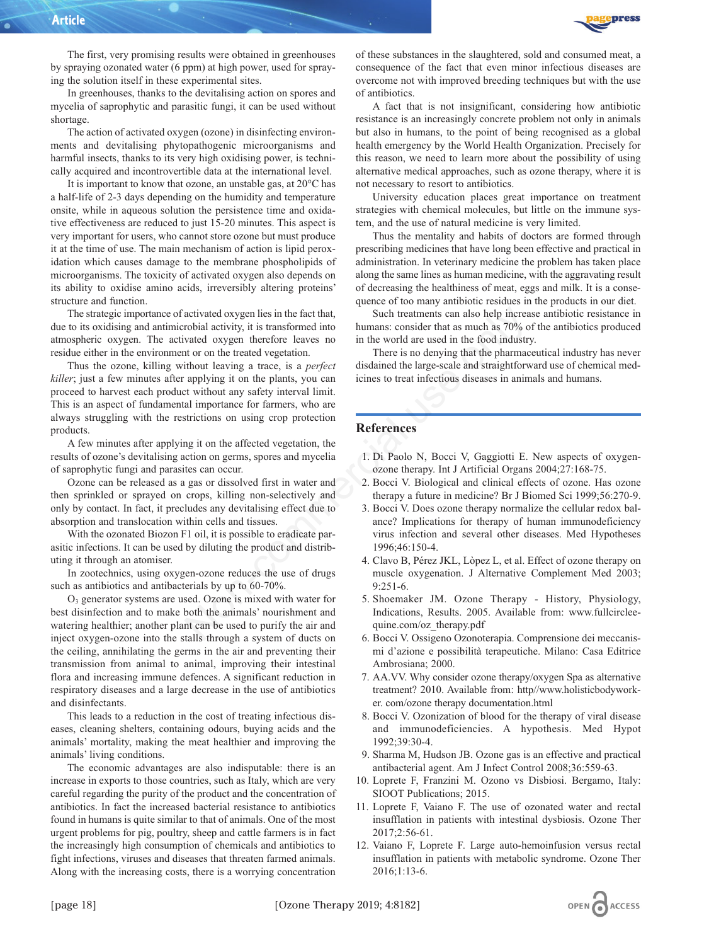

The first, very promising results were obtained in greenhouses by spraying ozonated water (6 ppm) at high power, used for spraying the solution itself in these experimental sites.

In greenhouses, thanks to the devitalising action on spores and mycelia of saprophytic and parasitic fungi, it can be used without shortage.

The action of activated oxygen (ozone) in disinfecting environments and devitalising phytopathogenic microorganisms and harmful insects, thanks to its very high oxidising power, is technically acquired and incontrovertible data at the international level.

It is important to know that ozone, an unstable gas, at 20°C has a half-life of 2-3 days depending on the humidity and temperature onsite, while in aqueous solution the persistence time and oxidative effectiveness are reduced to just 15-20 minutes. This aspect is very important for users, who cannot store ozone but must produce it at the time of use. The main mechanism of action is lipid peroxidation which causes damage to the membrane phospholipids of microorganisms. The toxicity of activated oxygen also depends on its ability to oxidise amino acids, irreversibly altering proteins' structure and function.

The strategic importance of activated oxygen lies in the fact that, due to its oxidising and antimicrobial activity, it is transformed into atmospheric oxygen. The activated oxygen therefore leaves no residue either in the environment or on the treated vegetation.

Thus the ozone, killing without leaving a trace, is a *perfect killer*; just a few minutes after applying it on the plants, you can proceed to harvest each product without any safety interval limit. This is an aspect of fundamental importance for farmers, who are always struggling with the restrictions on using crop protection products. activated oxygen lies in the fact that,<br>
voluch activity, it is transformed into humans: consider that as much as TO% or<br>
vated oxygen therefore leaves no<br>
in the world are used in the food industry<br>
are vated oxygen there

A few minutes after applying it on the affected vegetation, the results of ozone's devitalising action on germs, spores and mycelia of saprophytic fungi and parasites can occur.

Ozone can be released as a gas or dissolved first in water and then sprinkled or sprayed on crops, killing non-selectively and only by contact. In fact, it precludes any devitalising effect due to absorption and translocation within cells and tissues.

With the ozonated Biozon F1 oil, it is possible to eradicate parasitic infections. It can be used by diluting the product and distributing it through an atomiser.

In zootechnics, using oxygen-ozone reduces the use of drugs such as antibiotics and antibacterials by up to 60-70%.

O3 generator systems are used. Ozone is mixed with water for best disinfection and to make both the animals' nourishment and watering healthier; another plant can be used to purify the air and inject oxygen-ozone into the stalls through a system of ducts on the ceiling, annihilating the germs in the air and preventing their transmission from animal to animal, improving their intestinal flora and increasing immune defences. A significant reduction in respiratory diseases and a large decrease in the use of antibiotics and disinfectants.

This leads to a reduction in the cost of treating infectious diseases, cleaning shelters, containing odours, buying acids and the animals' mortality, making the meat healthier and improving the animals' living conditions.

The economic advantages are also indisputable: there is an increase in exports to those countries, such as Italy, which are very careful regarding the purity of the product and the concentration of antibiotics. In fact the increased bacterial resistance to antibiotics found in humans is quite similar to that of animals. One of the most urgent problems for pig, poultry, sheep and cattle farmers is in fact the increasingly high consumption of chemicals and antibiotics to fight infections, viruses and diseases that threaten farmed animals. Along with the increasing costs, there is a worrying concentration

of these substances in the slaughtered, sold and consumed meat, a consequence of the fact that even minor infectious diseases are overcome not with improved breeding techniques but with the use of antibiotics.

A fact that is not insignificant, considering how antibiotic resistance is an increasingly concrete problem not only in animals but also in humans, to the point of being recognised as a global health emergency by the World Health Organization. Precisely for this reason, we need to learn more about the possibility of using alternative medical approaches, such as ozone therapy, where it is not necessary to resort to antibiotics.

University education places great importance on treatment strategies with chemical molecules, but little on the immune system, and the use of natural medicine is very limited.

Thus the mentality and habits of doctors are formed through prescribing medicines that have long been effective and practical in administration. In veterinary medicine the problem has taken place along the same lines as human medicine, with the aggravating result of decreasing the healthiness of meat, eggs and milk. It is a consequence of too many antibiotic residues in the products in our diet.

Such treatments can also help increase antibiotic resistance in humans: consider that as much as 70% of the antibiotics produced in the world are used in the food industry.

There is no denying that the pharmaceutical industry has never disdained the large-scale and straightforward use of chemical medicines to treat infectious diseases in animals and humans.

#### **References**

- 1. Di Paolo N, Bocci V, Gaggiotti E. New aspects of oxygenozone therapy. Int J Artificial Organs 2004;27:168-75.
- 2. Bocci V. Biological and clinical effects of ozone. Has ozone therapy a future in medicine? Br J Biomed Sci 1999;56:270-9.
- 3. Bocci V. Does ozone therapy normalize the cellular redox balance? Implications for therapy of human immunodeficiency virus infection and several other diseases. Med Hypotheses 1996;46:150-4.
- 4. Clavo B, Pérez JKL, Lòpez L, et al. Effect of ozone therapy on muscle oxygenation. J Alternative Complement Med 2003; 9:251-6.
- 5. Shoemaker JM. Ozone Therapy History, Physiology, Indications, Results. 2005. Available from: www.fullcircleequine.com/oz\_therapy.pdf
- 6. Bocci V. Ossigeno Ozonoterapia. Comprensione dei meccanismi d'azione e possibilità terapeutiche. Milano: Casa Editrice Ambrosiana; 2000.
- 7. AA.VV. Why consider ozone therapy/oxygen Spa as alternative treatment? 2010. Available from: http//www.holisticbodyworker. com/ozone therapy documentation.html
- 8. Bocci V. Ozonization of blood for the therapy of viral disease and immunodeficiencies. A hypothesis. Med Hypot 1992;39:30-4.
- 9. Sharma M, Hudson JB. Ozone gas is an effective and practical antibacterial agent. Am J Infect Control 2008;36:559-63.
- 10. Loprete F, Franzini M. Ozono vs Disbiosi. Bergamo, Italy: SIOOT Publications; 2015.
- 11. Loprete F, Vaiano F. The use of ozonated water and rectal insufflation in patients with intestinal dysbiosis. Ozone Ther 2017;2:56-61.
- 12. Vaiano F, Loprete F. Large auto-hemoinfusion versus rectal insufflation in patients with metabolic syndrome. Ozone Ther 2016;1:13-6.

OPEN CACCESS